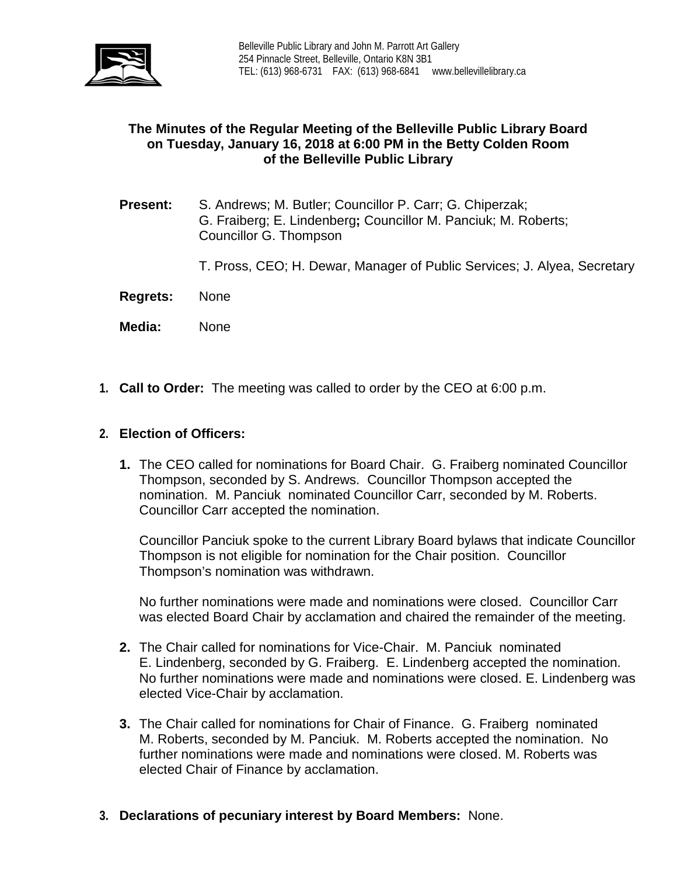

# **The Minutes of the Regular Meeting of the Belleville Public Library Board on Tuesday, January 16, 2018 at 6:00 PM in the Betty Colden Room of the Belleville Public Library**

- **Present:** S. Andrews; M. Butler; Councillor P. Carr; G. Chiperzak; G. Fraiberg; E. Lindenberg**;** Councillor M. Panciuk; M. Roberts; Councillor G. Thompson
	- T. Pross, CEO; H. Dewar, Manager of Public Services; J. Alyea, Secretary
- **Regrets:** None
- **Media:** None
- **1. Call to Order:** The meeting was called to order by the CEO at 6:00 p.m.

### **2. Election of Officers:**

**1.** The CEO called for nominations for Board Chair. G. Fraiberg nominated Councillor Thompson, seconded by S. Andrews. Councillor Thompson accepted the nomination. M. Panciuk nominated Councillor Carr, seconded by M. Roberts. Councillor Carr accepted the nomination.

Councillor Panciuk spoke to the current Library Board bylaws that indicate Councillor Thompson is not eligible for nomination for the Chair position. Councillor Thompson's nomination was withdrawn.

No further nominations were made and nominations were closed. Councillor Carr was elected Board Chair by acclamation and chaired the remainder of the meeting.

- **2.** The Chair called for nominations for Vice-Chair. M. Panciuk nominated E. Lindenberg, seconded by G. Fraiberg. E. Lindenberg accepted the nomination. No further nominations were made and nominations were closed. E. Lindenberg was elected Vice-Chair by acclamation.
- **3.** The Chair called for nominations for Chair of Finance. G. Fraiberg nominated M. Roberts, seconded by M. Panciuk. M. Roberts accepted the nomination. No further nominations were made and nominations were closed. M. Roberts was elected Chair of Finance by acclamation.
- **3. Declarations of pecuniary interest by Board Members:** None.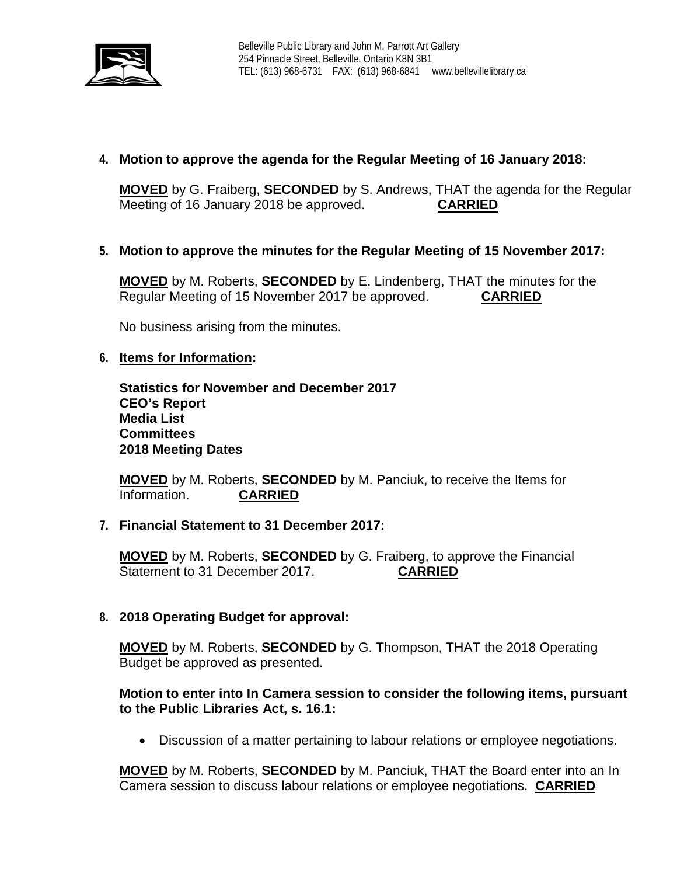

# **4. Motion to approve the agenda for the Regular Meeting of 16 January 2018:**

**MOVED** by G. Fraiberg, **SECONDED** by S. Andrews, THAT the agenda for the Regular Meeting of 16 January 2018 be approved. **CARRIED**

# **5. Motion to approve the minutes for the Regular Meeting of 15 November 2017:**

**MOVED** by M. Roberts, **SECONDED** by E. Lindenberg, THAT the minutes for the Regular Meeting of 15 November 2017 be approved. **CARRIED**

No business arising from the minutes.

### **6. Items for Information:**

**Statistics for November and December 2017 CEO's Report Media List Committees 2018 Meeting Dates**

**MOVED** by M. Roberts, **SECONDED** by M. Panciuk, to receive the Items for Information.

#### **7. Financial Statement to 31 December 2017:**

**MOVED** by M. Roberts, **SECONDED** by G. Fraiberg, to approve the Financial Statement to 31 December 2017. **CARRIED**

## **8. 2018 Operating Budget for approval:**

**MOVED** by M. Roberts, **SECONDED** by G. Thompson, THAT the 2018 Operating Budget be approved as presented.

## **Motion to enter into In Camera session to consider the following items, pursuant to the Public Libraries Act, s. 16.1:**

• Discussion of a matter pertaining to labour relations or employee negotiations.

**MOVED** by M. Roberts, **SECONDED** by M. Panciuk, THAT the Board enter into an In Camera session to discuss labour relations or employee negotiations. **CARRIED**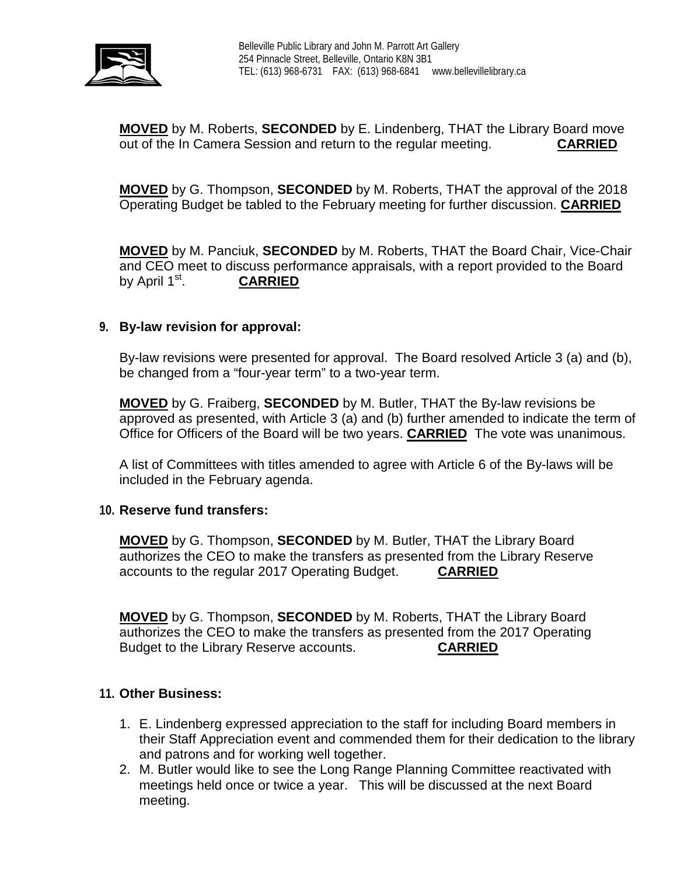

**MOVED** by M. Roberts, **SECONDED** by E. Lindenberg, THAT the Library Board move out of the In Camera Session and return to the regular meeting. **CARRIED**

**MOVED** by G. Thompson, **SECONDED** by M. Roberts, THAT the approval of the 2018 Operating Budget be tabled to the February meeting for further discussion. **CARRIED**

**MOVED** by M. Panciuk, **SECONDED** by M. Roberts, THAT the Board Chair, Vice-Chair and CEO meet to discuss performance appraisals, with a report provided to the Board by April 1st. **CARRIED**

### **9. By-law revision for approval:**

By-law revisions were presented for approval. The Board resolved Article 3 (a) and (b), be changed from a "four-year term" to a two-year term.

**MOVED** by G. Fraiberg, **SECONDED** by M. Butler, THAT the By-law revisions be approved as presented, with Article 3 (a) and (b) further amended to indicate the term of Office for Officers of the Board will be two years. **CARRIED** The vote was unanimous.

A list of Committees with titles amended to agree with Article 6 of the By-laws will be included in the February agenda.

#### **10. Reserve fund transfers:**

**MOVED** by G. Thompson, **SECONDED** by M. Butler, THAT the Library Board authorizes the CEO to make the transfers as presented from the Library Reserve accounts to the regular 2017 Operating Budget. **CARRIED**

**MOVED** by G. Thompson, **SECONDED** by M. Roberts, THAT the Library Board authorizes the CEO to make the transfers as presented from the 2017 Operating Budget to the Library Reserve accounts. **CARRIED**

#### **11. Other Business:**

- 1. E. Lindenberg expressed appreciation to the staff for including Board members in their Staff Appreciation event and commended them for their dedication to the library and patrons and for working well together.
- 2. M. Butler would like to see the Long Range Planning Committee reactivated with meetings held once or twice a year. This will be discussed at the next Board meeting.